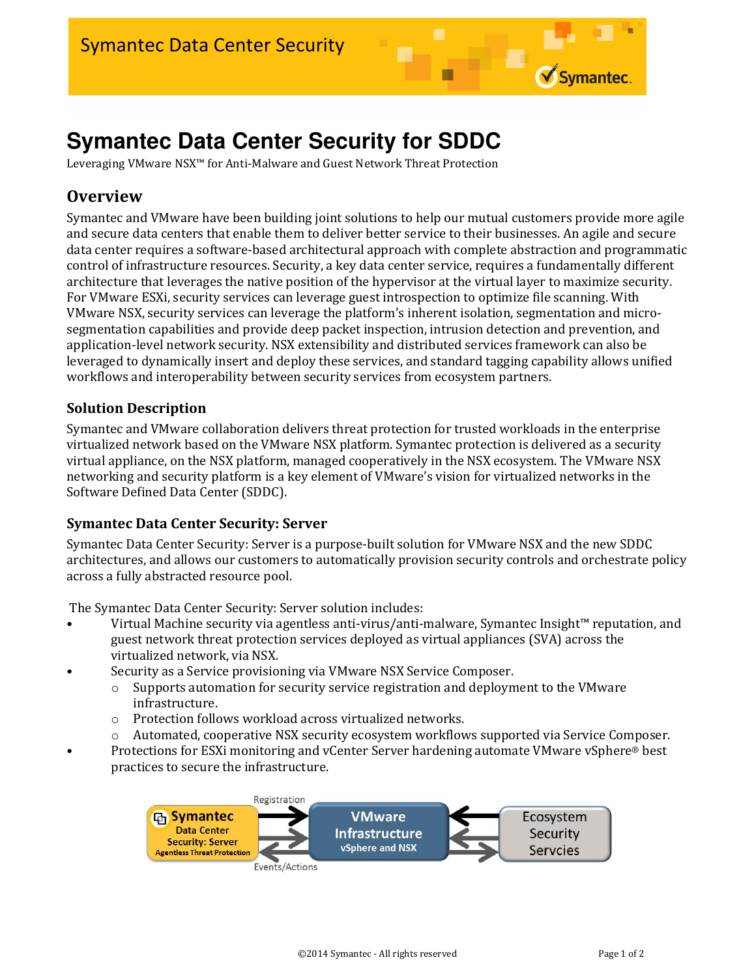# **Symantec Data Center Security for SDDC**

Leveraging VMware NSX™ for Anti-Malware and Guest Network Threat Protection

# **Overview**

Symantec and VMware have been building joint solutions to help our mutual customers provide more agile and secure data centers that enable them to deliver better service to their businesses. An agile and secure data center requires a software-based architectural approach with complete abstraction and programmatic control of infrastructure resources. Security, a key data center service, requires a fundamentally different architecture that leverages the native position of the hypervisor at the virtual layer to maximize security. For VMware ESXi, security services can leverage guest introspection to optimize file scanning. With VMware NSX, security services can leverage the platform's inherent isolation, segmentation and microsegmentation capabilities and provide deep packet inspection, intrusion detection and prevention, and application-level network security. NSX extensibility and distributed services framework can also be leveraged to dynamically insert and deploy these services, and standard tagging capability allows unified workflows and interoperability between security services from ecosystem partners.

### Solution Description

Symantec and VMware collaboration delivers threat protection for trusted workloads in the enterprise virtualized network based on the VMware NSX platform. Symantec protection is delivered as a security virtual appliance, on the NSX platform, managed cooperatively in the NSX ecosystem. The VMware NSX networking and security platform is a key element of VMware's vision for virtualized networks in the Software Defined Data Center (SDDC).

#### Symantec Data Center Security: Server

Symantec Data Center Security: Server is a purpose-built solution for VMware NSX and the new SDDC architectures, and allows our customers to automatically provision security controls and orchestrate policy across a fully abstracted resource pool.

The Symantec Data Center Security: Server solution includes:

- Virtual Machine security via agentless anti-virus/anti-malware, Symantec Insight™ reputation, and guest network threat protection services deployed as virtual appliances (SVA) across the virtualized network, via NSX.
- Security as a Service provisioning via VMware NSX Service Composer.
	- $\circ$  Supports automation for security service registration and deployment to the VMware infrastructure.
	- o Protection follows workload across virtualized networks.
	- o Automated, cooperative NSX security ecosystem workflows supported via Service Composer.
- Protections for ESXi monitoring and vCenter Server hardening automate VMware vSphere® best practices to secure the infrastructure.